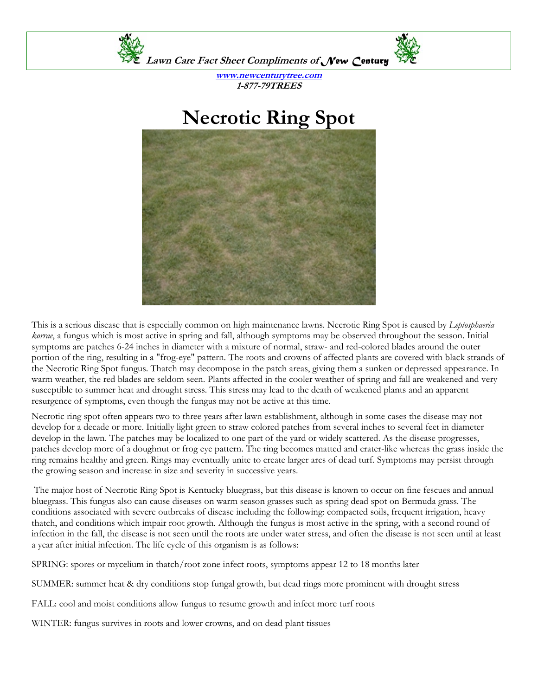

**www.newcenturytree.com 1-877-79TREES** 

## **Necrotic Ring Spot**



This is a serious disease that is especially common on high maintenance lawns. Necrotic Ring Spot is caused by *Leptosphaeria korrae*, a fungus which is most active in spring and fall, although symptoms may be observed throughout the season. Initial symptoms are patches 6-24 inches in diameter with a mixture of normal, straw- and red-colored blades around the outer portion of the ring, resulting in a "frog-eye" pattern. The roots and crowns of affected plants are covered with black strands of the Necrotic Ring Spot fungus. Thatch may decompose in the patch areas, giving them a sunken or depressed appearance. In warm weather, the red blades are seldom seen. Plants affected in the cooler weather of spring and fall are weakened and very susceptible to summer heat and drought stress. This stress may lead to the death of weakened plants and an apparent resurgence of symptoms, even though the fungus may not be active at this time.

Necrotic ring spot often appears two to three years after lawn establishment, although in some cases the disease may not develop for a decade or more. Initially light green to straw colored patches from several inches to several feet in diameter develop in the lawn. The patches may be localized to one part of the yard or widely scattered. As the disease progresses, patches develop more of a doughnut or frog eye pattern. The ring becomes matted and crater-like whereas the grass inside the ring remains healthy and green. Rings may eventually unite to create larger arcs of dead turf. Symptoms may persist through the growing season and increase in size and severity in successive years.

 The major host of Necrotic Ring Spot is Kentucky bluegrass, but this disease is known to occur on fine fescues and annual bluegrass. This fungus also can cause diseases on warm season grasses such as spring dead spot on Bermuda grass. The conditions associated with severe outbreaks of disease including the following: compacted soils, frequent irrigation, heavy thatch, and conditions which impair root growth. Although the fungus is most active in the spring, with a second round of infection in the fall, the disease is not seen until the roots are under water stress, and often the disease is not seen until at least a year after initial infection. The life cycle of this organism is as follows:

SPRING: spores or mycelium in thatch/root zone infect roots, symptoms appear 12 to 18 months later

SUMMER: summer heat & dry conditions stop fungal growth, but dead rings more prominent with drought stress

FALL: cool and moist conditions allow fungus to resume growth and infect more turf roots

WINTER: fungus survives in roots and lower crowns, and on dead plant tissues